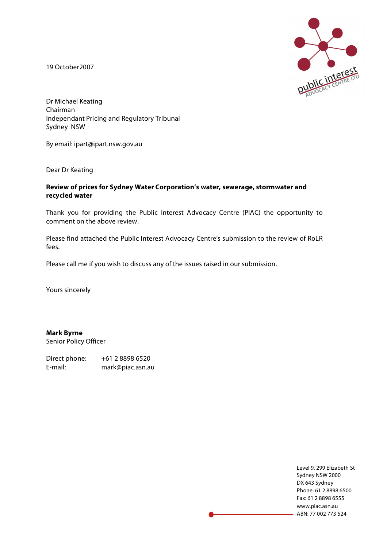19 October2007



Dr Michael Keating Chairman Independant Pricing and Regulatory Tribunal Sydney NSW

By email: ipart@ipart.nsw.gov.au

Dear Dr Keating

#### **Review of prices for Sydney Water Corporation's water, sewerage, stormwater and recycled water**

Thank you for providing the Public Interest Advocacy Centre (PIAC) the opportunity to comment on the above review.

Please find attached the Public Interest Advocacy Centre's submission to the review of RoLR fees.

Please call me if you wish to discuss any of the issues raised in our submission.

Yours sincerely

**Mark Byrne** Senior Policy Officer

Direct phone: +61 2 8898 6520 E-mail: mark@piac.asn.au

> Level 9, 299 Elizabeth St Sydney NSW 2000 DX 643 Sydney Phone: 61 2 8898 6500 Fax: 61 2 8898 6555 www.piac.asn.au ABN: 77 002 773 524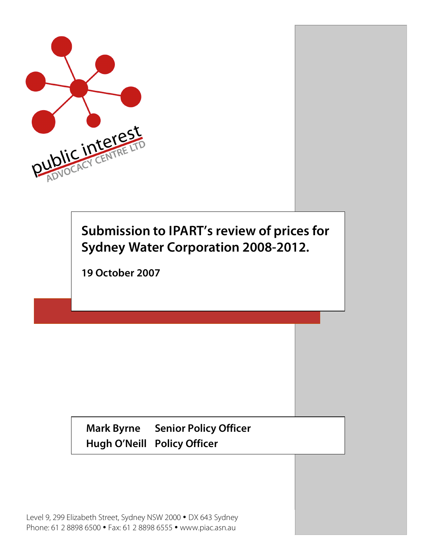

# **Submission to IPART's review of prices for Sydney Water Corporation 2008-2012.**

**19 October 2007**

**Mark Byrne Senior Policy Officer Hugh O'Neill Policy Officer**

Level 9, 299 Elizabeth Street, Sydney NSW 2000 • DX 643 Sydney Phone: 61 2 8898 6500 • Fax: 61 2 8898 6555 • www.piac.asn.au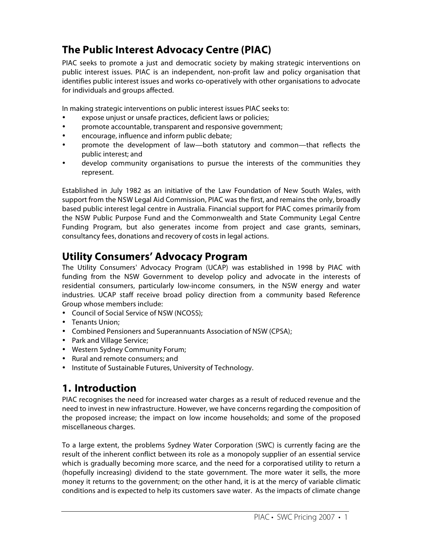## **The Public Interest Advocacy Centre (PIAC)**

PIAC seeks to promote a just and democratic society by making strategic interventions on public interest issues. PIAC is an independent, non-profit law and policy organisation that identifies public interest issues and works co-operatively with other organisations to advocate for individuals and groups affected.

In making strategic interventions on public interest issues PIAC seeks to:

- expose unjust or unsafe practices, deficient laws or policies;
- promote accountable, transparent and responsive government;
- encourage, influence and inform public debate;
- promote the development of law—both statutory and common—that reflects the public interest; and
- develop community organisations to pursue the interests of the communities they represent.

Established in July 1982 as an initiative of the Law Foundation of New South Wales, with support from the NSW Legal Aid Commission, PIAC was the first, and remains the only, broadly based public interest legal centre in Australia. Financial support for PIAC comes primarily from the NSW Public Purpose Fund and the Commonwealth and State Community Legal Centre Funding Program, but also generates income from project and case grants, seminars, consultancy fees, donations and recovery of costs in legal actions.

### **Utility Consumers' Advocacy Program**

The Utility Consumers' Advocacy Program (UCAP) was established in 1998 by PIAC with funding from the NSW Government to develop policy and advocate in the interests of residential consumers, particularly low-income consumers, in the NSW energy and water industries. UCAP staff receive broad policy direction from a community based Reference Group whose members include:

- Council of Social Service of NSW (NCOSS);
- Tenants Union;
- Combined Pensioners and Superannuants Association of NSW (CPSA);
- Park and Village Service;
- Western Sydney Community Forum;
- Rural and remote consumers; and
- Institute of Sustainable Futures, University of Technology.

### **1. Introduction**

PIAC recognises the need for increased water charges as a result of reduced revenue and the need to invest in new infrastructure. However, we have concerns regarding the composition of the proposed increase; the impact on low income households; and some of the proposed miscellaneous charges.

To a large extent, the problems Sydney Water Corporation (SWC) is currently facing are the result of the inherent conflict between its role as a monopoly supplier of an essential service which is gradually becoming more scarce, and the need for a corporatised utility to return a (hopefully increasing) dividend to the state government. The more water it sells, the more money it returns to the government; on the other hand, it is at the mercy of variable climatic conditions and is expected to help its customers save water. As the impacts of climate change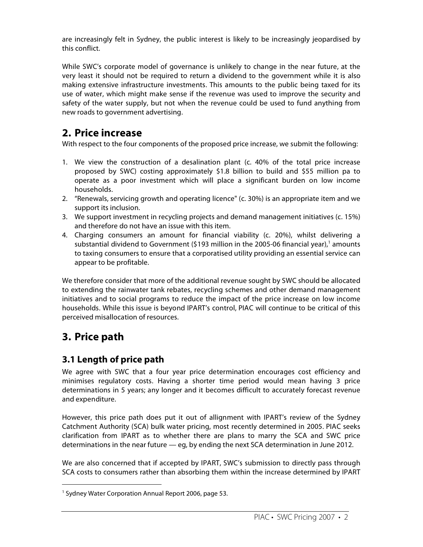are increasingly felt in Sydney, the public interest is likely to be increasingly jeopardised by this conflict.

While SWC's corporate model of governance is unlikely to change in the near future, at the very least it should not be required to return a dividend to the government while it is also making extensive infrastructure investments. This amounts to the public being taxed for its use of water, which might make sense if the revenue was used to improve the security and safety of the water supply, but not when the revenue could be used to fund anything from new roads to government advertising.

### **2. Price increase**

With respect to the four components of the proposed price increase, we submit the following:

- 1. We view the construction of a desalination plant (c. 40% of the total price increase proposed by SWC) costing approximately \$1.8 billion to build and \$55 million pa to operate as a poor investment which will place a significant burden on low income households.
- 2. "Renewals, servicing growth and operating licence" (c. 30%) is an appropriate item and we support its inclusion.
- 3. We support investment in recycling projects and demand management initiatives (c. 15%) and therefore do not have an issue with this item.
- 4. Charging consumers an amount for financial viability (c. 20%), whilst delivering a substantial dividend to Government (\$193 million in the 2005-06 financial year), <sup>1</sup> amounts to taxing consumers to ensure that a corporatised utility providing an essential service can appear to be profitable.

We therefore consider that more of the additional revenue sought by SWC should be allocated to extending the rainwater tank rebates, recycling schemes and other demand management initiatives and to social programs to reduce the impact of the price increase on low income households. While this issue is beyond IPART's control, PIAC will continue to be critical of this perceived misallocation of resources.

## **3. Price path**

 $\overline{a}$ 

#### **3.1 Length of price path**

We agree with SWC that a four year price determination encourages cost efficiency and minimises regulatory costs. Having a shorter time period would mean having 3 price determinations in 5 years; any longer and it becomes difficult to accurately forecast revenue and expenditure.

However, this price path does put it out of allignment with IPART's review of the Sydney Catchment Authority (SCA) bulk water pricing, most recently determined in 2005. PIAC seeks clarification from IPART as to whether there are plans to marry the SCA and SWC price determinations in the near future — eg, by ending the next SCA determination in June 2012.

We are also concerned that if accepted by IPART, SWC's submission to directly pass through SCA costs to consumers rather than absorbing them within the increase determined by IPART

<sup>&</sup>lt;sup>1</sup> Sydney Water Corporation Annual Report 2006, page 53.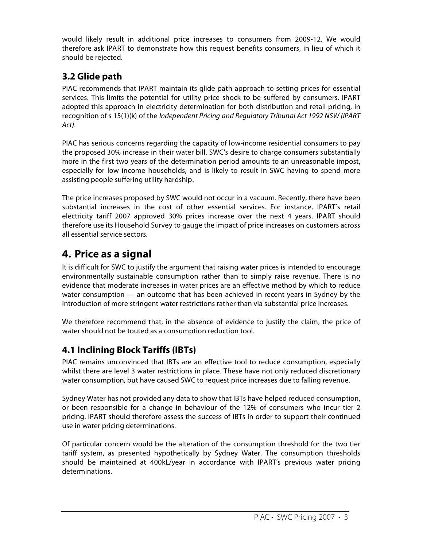would likely result in additional price increases to consumers from 2009-12. We would therefore ask IPART to demonstrate how this request benefits consumers, in lieu of which it should be rejected.

### **3.2 Glide path**

PIAC recommends that IPART maintain its glide path approach to setting prices for essential services. This limits the potential for utility price shock to be suffered by consumers. IPART adopted this approach in electricity determination for both distribution and retail pricing, in recognition of s 15(1)(k) of the Independent Pricing and Regulatory Tribunal Act 1992 NSW (IPART Act).

PIAC has serious concerns regarding the capacity of low-income residential consumers to pay the proposed 30% increase in their water bill. SWC's desire to charge consumers substantially more in the first two years of the determination period amounts to an unreasonable impost, especially for low income households, and is likely to result in SWC having to spend more assisting people suffering utility hardship.

The price increases proposed by SWC would not occur in a vacuum. Recently, there have been substantial increases in the cost of other essential services. For instance, IPART's retail electricity tariff 2007 approved 30% prices increase over the next 4 years. IPART should therefore use its Household Survey to gauge the impact of price increases on customers across all essential service sectors.

### **4. Price as a signal**

It is difficult for SWC to justify the argument that raising water prices is intended to encourage environmentally sustainable consumption rather than to simply raise revenue. There is no evidence that moderate increases in water prices are an effective method by which to reduce water consumption — an outcome that has been achieved in recent years in Sydney by the introduction of more stringent water restrictions rather than via substantial price increases.

We therefore recommend that, in the absence of evidence to justify the claim, the price of water should not be touted as a consumption reduction tool.

### **4.1 Inclining Block Tariffs (IBTs)**

PIAC remains unconvinced that IBTs are an effective tool to reduce consumption, especially whilst there are level 3 water restrictions in place. These have not only reduced discretionary water consumption, but have caused SWC to request price increases due to falling revenue.

Sydney Water has not provided any data to show that IBTs have helped reduced consumption, or been responsible for a change in behaviour of the 12% of consumers who incur tier 2 pricing. IPART should therefore assess the success of IBTs in order to support their continued use in water pricing determinations.

Of particular concern would be the alteration of the consumption threshold for the two tier tariff system, as presented hypothetically by Sydney Water. The consumption thresholds should be maintained at 400kL/year in accordance with IPART's previous water pricing determinations.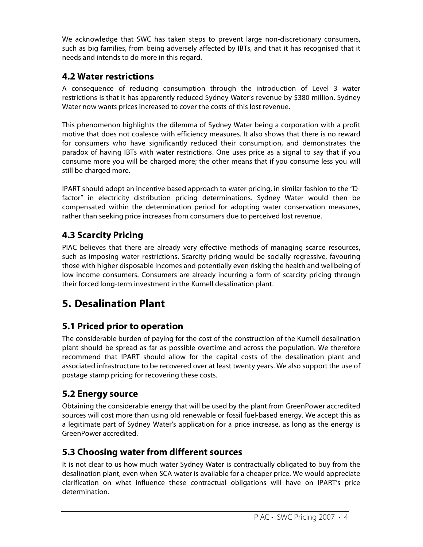We acknowledge that SWC has taken steps to prevent large non-discretionary consumers, such as big families, from being adversely affected by IBTs, and that it has recognised that it needs and intends to do more in this regard.

#### **4.2 Water restrictions**

A consequence of reducing consumption through the introduction of Level 3 water restrictions is that it has apparently reduced Sydney Water's revenue by \$380 million. Sydney Water now wants prices increased to cover the costs of this lost revenue.

This phenomenon highlights the dilemma of Sydney Water being a corporation with a profit motive that does not coalesce with efficiency measures. It also shows that there is no reward for consumers who have significantly reduced their consumption, and demonstrates the paradox of having IBTs with water restrictions. One uses price as a signal to say that if you consume more you will be charged more; the other means that if you consume less you will still be charged more.

IPART should adopt an incentive based approach to water pricing, in similar fashion to the "Dfactor" in electricity distribution pricing determinations. Sydney Water would then be compensated within the determination period for adopting water conservation measures, rather than seeking price increases from consumers due to perceived lost revenue.

#### **4.3 Scarcity Pricing**

PIAC believes that there are already very effective methods of managing scarce resources, such as imposing water restrictions. Scarcity pricing would be socially regressive, favouring those with higher disposable incomes and potentially even risking the health and wellbeing of low income consumers. Consumers are already incurring a form of scarcity pricing through their forced long-term investment in the Kurnell desalination plant.

### **5. Desalination Plant**

#### **5.1 Priced prior to operation**

The considerable burden of paying for the cost of the construction of the Kurnell desalination plant should be spread as far as possible overtime and across the population. We therefore recommend that IPART should allow for the capital costs of the desalination plant and associated infrastructure to be recovered over at least twenty years. We also support the use of postage stamp pricing for recovering these costs.

#### **5.2 Energy source**

Obtaining the considerable energy that will be used by the plant from GreenPower accredited sources will cost more than using old renewable or fossil fuel-based energy. We accept this as a legitimate part of Sydney Water's application for a price increase, as long as the energy is GreenPower accredited.

#### **5.3 Choosing water from different sources**

It is not clear to us how much water Sydney Water is contractually obligated to buy from the desalination plant, even when SCA water is available for a cheaper price. We would appreciate clarification on what influence these contractual obligations will have on IPART's price determination.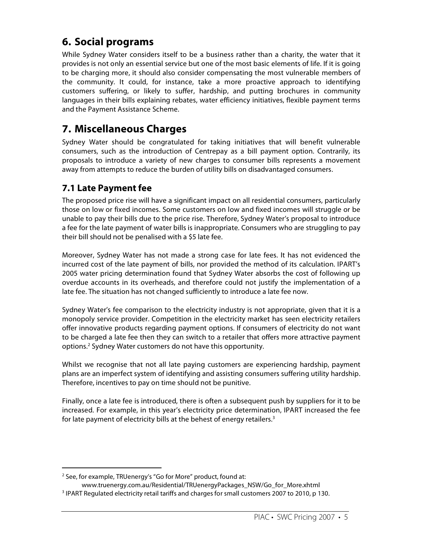### **6. Social programs**

While Sydney Water considers itself to be a business rather than a charity, the water that it provides is not only an essential service but one of the most basic elements of life. If it is going to be charging more, it should also consider compensating the most vulnerable members of the community. It could, for instance, take a more proactive approach to identifying customers suffering, or likely to suffer, hardship, and putting brochures in community languages in their bills explaining rebates, water efficiency initiatives, flexible payment terms and the Payment Assistance Scheme.

### **7. Miscellaneous Charges**

Sydney Water should be congratulated for taking initiatives that will benefit vulnerable consumers, such as the introduction of Centrepay as a bill payment option. Contrarily, its proposals to introduce a variety of new charges to consumer bills represents a movement away from attempts to reduce the burden of utility bills on disadvantaged consumers.

#### **7.1 Late Payment fee**

The proposed price rise will have a significant impact on all residential consumers, particularly those on low or fixed incomes. Some customers on low and fixed incomes will struggle or be unable to pay their bills due to the price rise. Therefore, Sydney Water's proposal to introduce a fee for the late payment of water bills is inappropriate. Consumers who are struggling to pay their bill should not be penalised with a \$5 late fee.

Moreover, Sydney Water has not made a strong case for late fees. It has not evidenced the incurred cost of the late payment of bills, nor provided the method of its calculation. IPART's 2005 water pricing determination found that Sydney Water absorbs the cost of following up overdue accounts in its overheads, and therefore could not justify the implementation of a late fee. The situation has not changed sufficiently to introduce a late fee now.

Sydney Water's fee comparison to the electricity industry is not appropriate, given that it is a monopoly service provider. Competition in the electricity market has seen electricity retailers offer innovative products regarding payment options. If consumers of electricity do not want to be charged a late fee then they can switch to a retailer that offers more attractive payment options. <sup>2</sup> Sydney Water customers do not have this opportunity.

Whilst we recognise that not all late paying customers are experiencing hardship, payment plans are an imperfect system of identifying and assisting consumers suffering utility hardship. Therefore, incentives to pay on time should not be punitive.

Finally, once a late fee is introduced, there is often a subsequent push by suppliers for it to be increased. For example, in this year's electricity price determination, IPART increased the fee for late payment of electricity bills at the behest of energy retailers.<sup>3</sup>

 $\overline{a}$ <sup>2</sup> See, for example, TRUenergy's "Go for More" product, found at:

www.truenergy.com.au/Residential/TRUenergyPackages\_NSW/Go\_for\_More.xhtml

<sup>&</sup>lt;sup>3</sup> IPART Regulated electricity retail tariffs and charges for small customers 2007 to 2010, p 130.